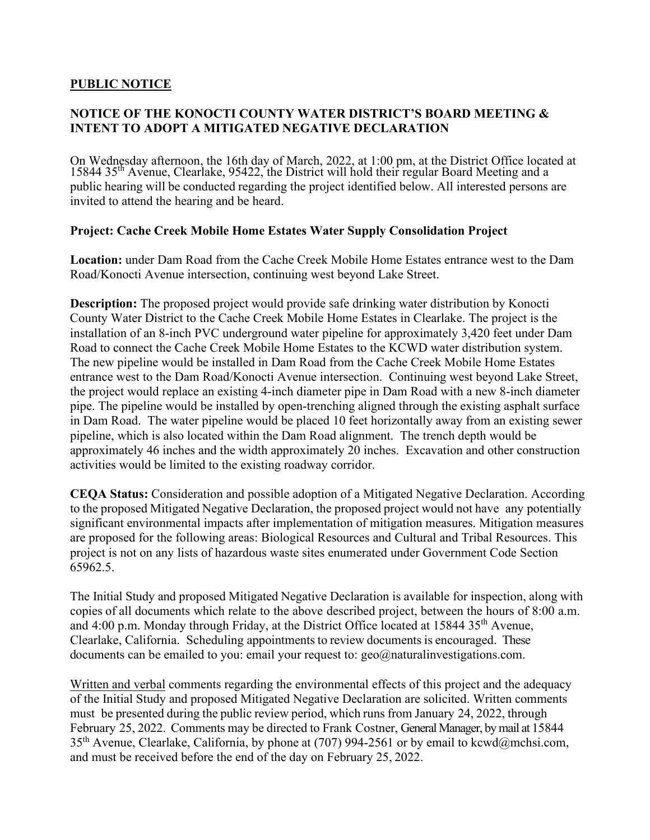## **PUBLIC NOTICE**

## **NOTICE OF THE KONOCTI COUNTY WATER DISTRICT'S BOARD MEETING & INTENT TO ADOPT A MITIGATED NEGATIVE DECLARATION**

On Wednesday afternoon, the 16th day of March, 2022, at 1:00 pm, at the District Office located at 15844 35th Avenue, Clearlake, 95422, the District will hold their regular Board Meeting and a public hearing will be conducted regarding the project identified below. All interested persons are invited to attend the hearing and be heard.

## **Project: Cache Creek Mobile Home Estates Water Supply Consolidation Project**

**Location:** under Dam Road from the Cache Creek Mobile Home Estates entrance west to the Dam Road/Konocti Avenue intersection, continuing west beyond Lake Street.

**Description:** The proposed project would provide safe drinking water distribution by Konocti County Water District to the Cache Creek Mobile Home Estates in Clearlake. The project is the installation of an 8-inch PVC underground water pipeline for approximately 3,420 feet under Dam Road to connect the Cache Creek Mobile Home Estates to the KCWD water distribution system. The new pipeline would be installed in Dam Road from the Cache Creek Mobile Home Estates entrance west to the Dam Road/Konocti Avenue intersection. Continuing west beyond Lake Street, the project would replace an existing 4-inch diameter pipe in Dam Road with a new 8-inch diameter pipe. The pipeline would be installed by open-trenching aligned through the existing asphalt surface in Dam Road. The water pipeline would be placed 10 feet horizontally away from an existing sewer pipeline, which is also located within the Dam Road alignment. The trench depth would be approximately 46 inches and the width approximately 20 inches. Excavation and other construction activities would be limited to the existing roadway corridor.

**CEQA Status:** Consideration and possible adoption of a Mitigated Negative Declaration. According to the proposed Mitigated Negative Declaration, the proposed project would not have any potentially significant environmental impacts after implementation of mitigation measures. Mitigation measures are proposed for the following areas: Biological Resources and Cultural and Tribal Resources. This project is not on any lists of hazardous waste sites enumerated under Government Code Section 65962.5.

The Initial Study and proposed Mitigated Negative Declaration is available for inspection, along with copies of all documents which relate to the above described project, between the hours of 8:00 a.m. and 4:00 p.m. Monday through Friday, at the District Office located at  $1584435<sup>th</sup>$  Avenue, Clearlake, California. Scheduling appointments to review documents is encouraged. These documents can be emailed to you: email your request to: geo@naturalinvestigations.com.

Written and verbal comments regarding the environmental effects of this project and the adequacy of the Initial Study and proposed Mitigated Negative Declaration are solicited. Written comments must be presented during the public review period, which runs from January 24, 2022, through February 25, 2022. Comments may be directed to Frank Costner, General Manager, by mail at 15844 35th Avenue, Clearlake, California, by phone at (707) 994-2561 or by email to kcwd@mchsi.com, and must be received before the end of the day on February 25, 2022.